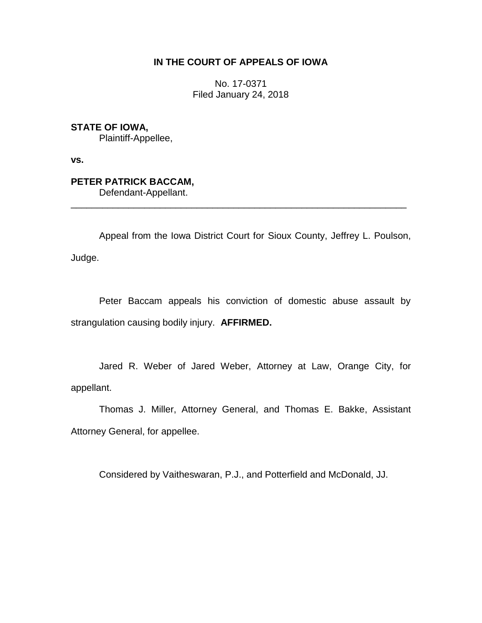## **IN THE COURT OF APPEALS OF IOWA**

No. 17-0371 Filed January 24, 2018

**STATE OF IOWA,**

Plaintiff-Appellee,

**vs.**

# **PETER PATRICK BACCAM,**

Defendant-Appellant.

Appeal from the Iowa District Court for Sioux County, Jeffrey L. Poulson, Judge.

\_\_\_\_\_\_\_\_\_\_\_\_\_\_\_\_\_\_\_\_\_\_\_\_\_\_\_\_\_\_\_\_\_\_\_\_\_\_\_\_\_\_\_\_\_\_\_\_\_\_\_\_\_\_\_\_\_\_\_\_\_\_\_\_

Peter Baccam appeals his conviction of domestic abuse assault by strangulation causing bodily injury. **AFFIRMED.**

Jared R. Weber of Jared Weber, Attorney at Law, Orange City, for appellant.

Thomas J. Miller, Attorney General, and Thomas E. Bakke, Assistant Attorney General, for appellee.

Considered by Vaitheswaran, P.J., and Potterfield and McDonald, JJ.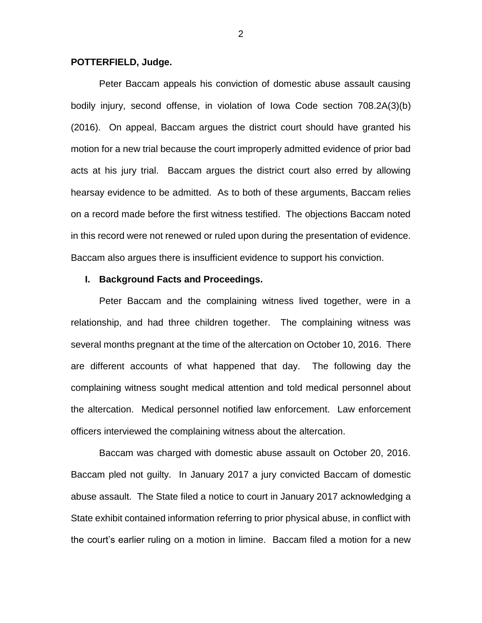#### **POTTERFIELD, Judge.**

Peter Baccam appeals his conviction of domestic abuse assault causing bodily injury, second offense, in violation of Iowa Code section 708.2A(3)(b) (2016). On appeal, Baccam argues the district court should have granted his motion for a new trial because the court improperly admitted evidence of prior bad acts at his jury trial. Baccam argues the district court also erred by allowing hearsay evidence to be admitted. As to both of these arguments, Baccam relies on a record made before the first witness testified. The objections Baccam noted in this record were not renewed or ruled upon during the presentation of evidence. Baccam also argues there is insufficient evidence to support his conviction.

#### **I. Background Facts and Proceedings.**

Peter Baccam and the complaining witness lived together, were in a relationship, and had three children together. The complaining witness was several months pregnant at the time of the altercation on October 10, 2016. There are different accounts of what happened that day. The following day the complaining witness sought medical attention and told medical personnel about the altercation. Medical personnel notified law enforcement. Law enforcement officers interviewed the complaining witness about the altercation.

Baccam was charged with domestic abuse assault on October 20, 2016. Baccam pled not guilty. In January 2017 a jury convicted Baccam of domestic abuse assault. The State filed a notice to court in January 2017 acknowledging a State exhibit contained information referring to prior physical abuse, in conflict with the court's earlier ruling on a motion in limine. Baccam filed a motion for a new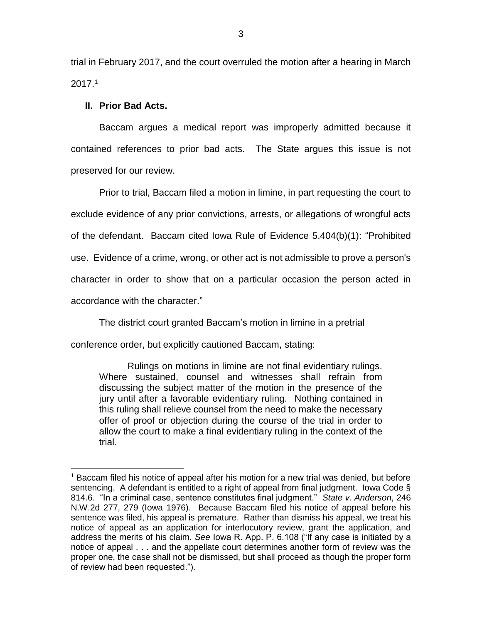trial in February 2017, and the court overruled the motion after a hearing in March 2017.<sup>1</sup>

#### **II. Prior Bad Acts.**

 $\overline{a}$ 

Baccam argues a medical report was improperly admitted because it contained references to prior bad acts. The State argues this issue is not preserved for our review.

Prior to trial, Baccam filed a motion in limine, in part requesting the court to exclude evidence of any prior convictions, arrests, or allegations of wrongful acts of the defendant. Baccam cited Iowa Rule of Evidence 5.404(b)(1): "Prohibited use. Evidence of a crime, wrong, or other act is not admissible to prove a person's character in order to show that on a particular occasion the person acted in accordance with the character."

The district court granted Baccam's motion in limine in a pretrial

conference order, but explicitly cautioned Baccam, stating:

Rulings on motions in limine are not final evidentiary rulings. Where sustained, counsel and witnesses shall refrain from discussing the subject matter of the motion in the presence of the jury until after a favorable evidentiary ruling. Nothing contained in this ruling shall relieve counsel from the need to make the necessary offer of proof or objection during the course of the trial in order to allow the court to make a final evidentiary ruling in the context of the trial.

<sup>&</sup>lt;sup>1</sup> Baccam filed his notice of appeal after his motion for a new trial was denied, but before sentencing. A defendant is entitled to a right of appeal from final judgment. Iowa Code § 814.6. "In a criminal case, sentence constitutes final judgment." *State v. Anderson*, 246 N.W.2d 277, 279 (Iowa 1976). Because Baccam filed his notice of appeal before his sentence was filed, his appeal is premature. Rather than dismiss his appeal, we treat his notice of appeal as an application for interlocutory review, grant the application, and address the merits of his claim. *See* Iowa R. App. P. 6.108 ("If any case is initiated by a notice of appeal . . . and the appellate court determines another form of review was the proper one, the case shall not be dismissed, but shall proceed as though the proper form of review had been requested.").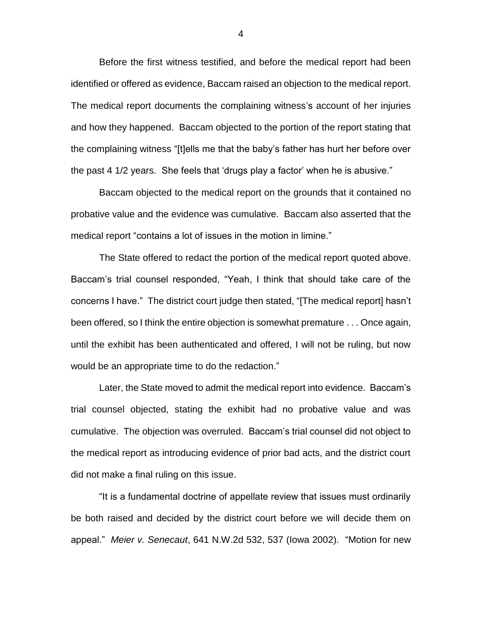Before the first witness testified, and before the medical report had been identified or offered as evidence, Baccam raised an objection to the medical report. The medical report documents the complaining witness's account of her injuries and how they happened. Baccam objected to the portion of the report stating that the complaining witness "[t]ells me that the baby's father has hurt her before over the past 4 1/2 years. She feels that 'drugs play a factor' when he is abusive."

Baccam objected to the medical report on the grounds that it contained no probative value and the evidence was cumulative. Baccam also asserted that the medical report "contains a lot of issues in the motion in limine."

The State offered to redact the portion of the medical report quoted above. Baccam's trial counsel responded, "Yeah, I think that should take care of the concerns I have." The district court judge then stated, "[The medical report] hasn't been offered, so I think the entire objection is somewhat premature . . . Once again, until the exhibit has been authenticated and offered, I will not be ruling, but now would be an appropriate time to do the redaction."

Later, the State moved to admit the medical report into evidence. Baccam's trial counsel objected, stating the exhibit had no probative value and was cumulative. The objection was overruled. Baccam's trial counsel did not object to the medical report as introducing evidence of prior bad acts, and the district court did not make a final ruling on this issue.

"It is a fundamental doctrine of appellate review that issues must ordinarily be both raised and decided by the district court before we will decide them on appeal." *Meier v. Senecaut*, 641 N.W.2d 532, 537 (Iowa 2002). "Motion for new

4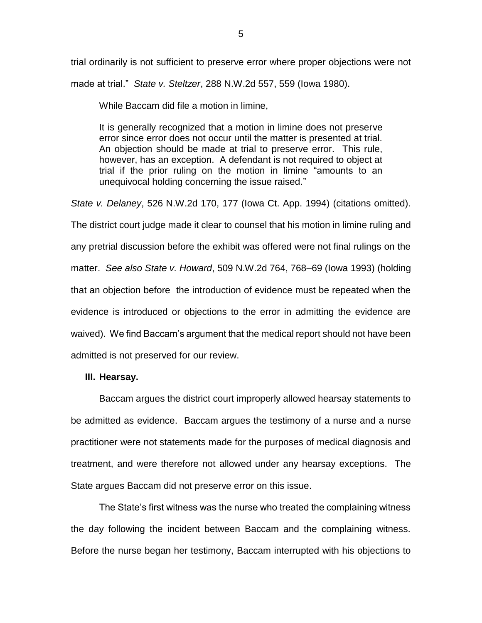trial ordinarily is not sufficient to preserve error where proper objections were not made at trial." *State v. Steltzer*, 288 N.W.2d 557, 559 (Iowa 1980).

While Baccam did file a motion in limine,

It is generally recognized that a motion in limine does not preserve error since error does not occur until the matter is presented at trial. An objection should be made at trial to preserve error. This rule, however, has an exception. A defendant is not required to object at trial if the prior ruling on the motion in limine "amounts to an unequivocal holding concerning the issue raised."

*State v. Delaney*, 526 N.W.2d 170, 177 (Iowa Ct. App. 1994) (citations omitted). The district court judge made it clear to counsel that his motion in limine ruling and any pretrial discussion before the exhibit was offered were not final rulings on the matter. *See also State v. Howard*, 509 N.W.2d 764, 768–69 (Iowa 1993) (holding that an objection before the introduction of evidence must be repeated when the evidence is introduced or objections to the error in admitting the evidence are waived). We find Baccam's argument that the medical report should not have been admitted is not preserved for our review.

## **III. Hearsay.**

Baccam argues the district court improperly allowed hearsay statements to be admitted as evidence. Baccam argues the testimony of a nurse and a nurse practitioner were not statements made for the purposes of medical diagnosis and treatment, and were therefore not allowed under any hearsay exceptions. The State argues Baccam did not preserve error on this issue.

The State's first witness was the nurse who treated the complaining witness the day following the incident between Baccam and the complaining witness. Before the nurse began her testimony, Baccam interrupted with his objections to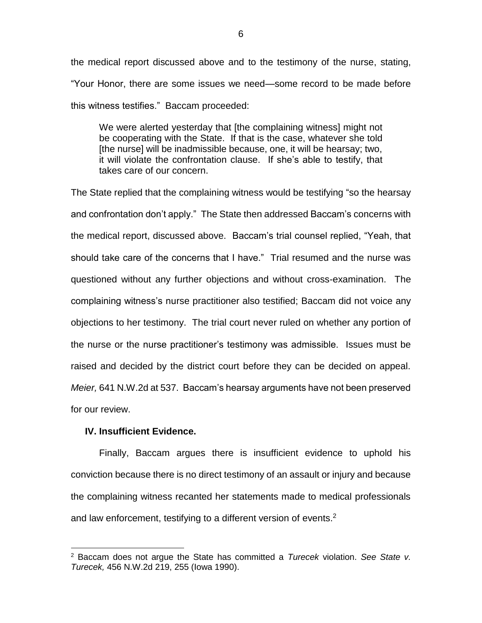the medical report discussed above and to the testimony of the nurse, stating, "Your Honor, there are some issues we need—some record to be made before this witness testifies." Baccam proceeded:

We were alerted yesterday that [the complaining witness] might not be cooperating with the State. If that is the case, whatever she told [the nurse] will be inadmissible because, one, it will be hearsay; two, it will violate the confrontation clause. If she's able to testify, that takes care of our concern.

The State replied that the complaining witness would be testifying "so the hearsay and confrontation don't apply." The State then addressed Baccam's concerns with the medical report, discussed above. Baccam's trial counsel replied, "Yeah, that should take care of the concerns that I have." Trial resumed and the nurse was questioned without any further objections and without cross-examination. The complaining witness's nurse practitioner also testified; Baccam did not voice any objections to her testimony. The trial court never ruled on whether any portion of the nurse or the nurse practitioner's testimony was admissible. Issues must be raised and decided by the district court before they can be decided on appeal. *Meier,* 641 N.W.2d at 537. Baccam's hearsay arguments have not been preserved for our review.

## **IV. Insufficient Evidence.**

 $\overline{a}$ 

Finally, Baccam argues there is insufficient evidence to uphold his conviction because there is no direct testimony of an assault or injury and because the complaining witness recanted her statements made to medical professionals and law enforcement, testifying to a different version of events.<sup>2</sup>

6

<sup>2</sup> Baccam does not argue the State has committed a *Turecek* violation. *See State v. Turecek,* 456 N.W.2d 219, 255 (Iowa 1990).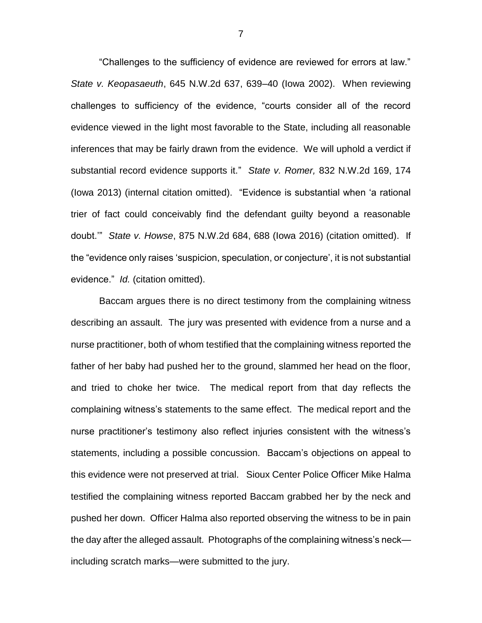"Challenges to the sufficiency of evidence are reviewed for errors at law." *State v. Keopasaeuth*, 645 N.W.2d 637, 639–40 (Iowa 2002). When reviewing challenges to sufficiency of the evidence, "courts consider all of the record evidence viewed in the light most favorable to the State, including all reasonable inferences that may be fairly drawn from the evidence. We will uphold a verdict if substantial record evidence supports it." *State v. Romer,* 832 N.W.2d 169, 174 (Iowa 2013) (internal citation omitted). "Evidence is substantial when 'a rational trier of fact could conceivably find the defendant guilty beyond a reasonable doubt.'" *State v. Howse*, 875 N.W.2d 684, 688 (Iowa 2016) (citation omitted). If the "evidence only raises 'suspicion, speculation, or conjecture', it is not substantial evidence." *Id.* (citation omitted).

Baccam argues there is no direct testimony from the complaining witness describing an assault. The jury was presented with evidence from a nurse and a nurse practitioner, both of whom testified that the complaining witness reported the father of her baby had pushed her to the ground, slammed her head on the floor, and tried to choke her twice. The medical report from that day reflects the complaining witness's statements to the same effect. The medical report and the nurse practitioner's testimony also reflect injuries consistent with the witness's statements, including a possible concussion. Baccam's objections on appeal to this evidence were not preserved at trial. Sioux Center Police Officer Mike Halma testified the complaining witness reported Baccam grabbed her by the neck and pushed her down. Officer Halma also reported observing the witness to be in pain the day after the alleged assault. Photographs of the complaining witness's neck including scratch marks—were submitted to the jury.

7